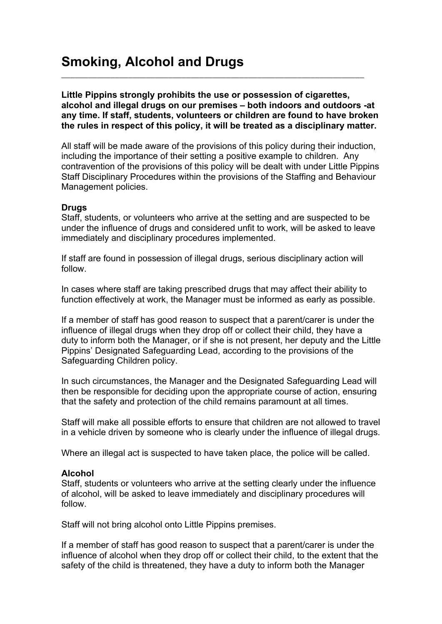**Little Pippins strongly prohibits the use or possession of cigarettes, alcohol and illegal drugs on our premises – both indoors and outdoors -at any time. If staff, students, volunteers or children are found to have broken the rules in respect of this policy, it will be treated as a disciplinary matter.** 

\_\_\_\_\_\_\_\_\_\_\_\_\_\_\_\_\_\_\_\_\_\_\_\_\_\_\_\_\_\_\_\_\_\_\_\_\_\_\_\_\_\_\_\_\_\_\_\_\_\_\_\_\_\_\_\_\_\_\_\_\_\_\_\_\_\_\_\_

All staff will be made aware of the provisions of this policy during their induction, including the importance of their setting a positive example to children. Any contravention of the provisions of this policy will be dealt with under Little Pippins Staff Disciplinary Procedures within the provisions of the Staffing and Behaviour Management policies.

## **Drugs**

Staff, students, or volunteers who arrive at the setting and are suspected to be under the influence of drugs and considered unfit to work, will be asked to leave immediately and disciplinary procedures implemented.

If staff are found in possession of illegal drugs, serious disciplinary action will follow.

In cases where staff are taking prescribed drugs that may affect their ability to function effectively at work, the Manager must be informed as early as possible.

If a member of staff has good reason to suspect that a parent/carer is under the influence of illegal drugs when they drop off or collect their child, they have a duty to inform both the Manager, or if she is not present, her deputy and the Little Pippins' Designated Safeguarding Lead, according to the provisions of the Safeguarding Children policy.

In such circumstances, the Manager and the Designated Safeguarding Lead will then be responsible for deciding upon the appropriate course of action, ensuring that the safety and protection of the child remains paramount at all times.

Staff will make all possible efforts to ensure that children are not allowed to travel in a vehicle driven by someone who is clearly under the influence of illegal drugs.

Where an illegal act is suspected to have taken place, the police will be called.

## **Alcohol**

Staff, students or volunteers who arrive at the setting clearly under the influence of alcohol, will be asked to leave immediately and disciplinary procedures will follow.

Staff will not bring alcohol onto Little Pippins premises.

If a member of staff has good reason to suspect that a parent/carer is under the influence of alcohol when they drop off or collect their child, to the extent that the safety of the child is threatened, they have a duty to inform both the Manager